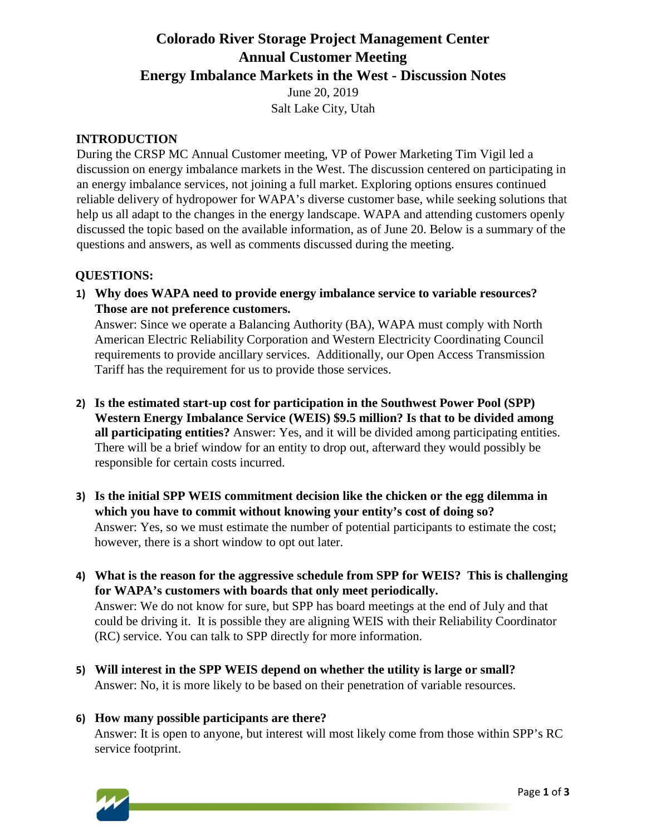# **Colorado River Storage Project Management Center Annual Customer Meeting Energy Imbalance Markets in the West - Discussion Notes**

June 20, 2019 Salt Lake City, Utah

## **INTRODUCTION**

During the CRSP MC Annual Customer meeting, VP of Power Marketing Tim Vigil led a discussion on energy imbalance markets in the West. The discussion centered on participating in an energy imbalance services, not joining a full market. Exploring options ensures continued reliable delivery of hydropower for WAPA's diverse customer base, while seeking solutions that help us all adapt to the changes in the energy landscape. WAPA and attending customers openly discussed the topic based on the available information, as of June 20. Below is a summary of the questions and answers, as well as comments discussed during the meeting.

#### **QUESTIONS:**

**1) Why does WAPA need to provide energy imbalance service to variable resources? Those are not preference customers.** 

Answer: Since we operate a Balancing Authority (BA), WAPA must comply with North American Electric Reliability Corporation and Western Electricity Coordinating Council requirements to provide ancillary services. Additionally, our Open Access Transmission Tariff has the requirement for us to provide those services.

- **2) Is the estimated start-up cost for participation in the Southwest Power Pool (SPP) Western Energy Imbalance Service (WEIS) \$9.5 million? Is that to be divided among all participating entities?** Answer: Yes, and it will be divided among participating entities. There will be a brief window for an entity to drop out, afterward they would possibly be responsible for certain costs incurred.
- **3) Is the initial SPP WEIS commitment decision like the chicken or the egg dilemma in which you have to commit without knowing your entity's cost of doing so?**  Answer: Yes, so we must estimate the number of potential participants to estimate the cost; however, there is a short window to opt out later.
- **4) What is the reason for the aggressive schedule from SPP for WEIS? This is challenging for WAPA's customers with boards that only meet periodically.**  Answer: We do not know for sure, but SPP has board meetings at the end of July and that could be driving it. It is possible they are aligning WEIS with their Reliability Coordinator (RC) service. You can talk to SPP directly for more information.
- **5) Will interest in the SPP WEIS depend on whether the utility is large or small?**  Answer: No, it is more likely to be based on their penetration of variable resources.

## **6) How many possible participants are there?**

Answer: It is open to anyone, but interest will most likely come from those within SPP's RC service footprint.

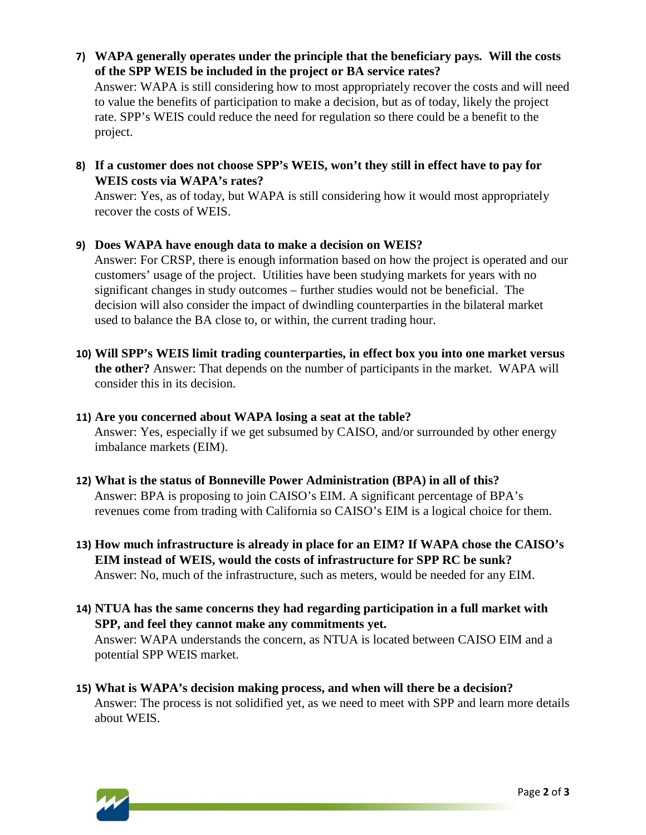- **7) WAPA generally operates under the principle that the beneficiary pays. Will the costs of the SPP WEIS be included in the project or BA service rates?**  Answer: WAPA is still considering how to most appropriately recover the costs and will need to value the benefits of participation to make a decision, but as of today, likely the project rate. SPP's WEIS could reduce the need for regulation so there could be a benefit to the project.
- **8) If a customer does not choose SPP's WEIS, won't they still in effect have to pay for WEIS costs via WAPA's rates?**

Answer: Yes, as of today, but WAPA is still considering how it would most appropriately recover the costs of WEIS.

**9) Does WAPA have enough data to make a decision on WEIS?** 

Answer: For CRSP, there is enough information based on how the project is operated and our customers' usage of the project. Utilities have been studying markets for years with no significant changes in study outcomes – further studies would not be beneficial. The decision will also consider the impact of dwindling counterparties in the bilateral market used to balance the BA close to, or within, the current trading hour.

- **10) Will SPP's WEIS limit trading counterparties, in effect box you into one market versus the other?** Answer: That depends on the number of participants in the market. WAPA will consider this in its decision.
- **11) Are you concerned about WAPA losing a seat at the table?**  Answer: Yes, especially if we get subsumed by CAISO, and/or surrounded by other energy imbalance markets (EIM).
- **12) What is the status of Bonneville Power Administration (BPA) in all of this?**  Answer: BPA is proposing to join CAISO's EIM. A significant percentage of BPA's revenues come from trading with California so CAISO's EIM is a logical choice for them.
- **13) How much infrastructure is already in place for an EIM? If WAPA chose the CAISO's EIM instead of WEIS, would the costs of infrastructure for SPP RC be sunk?**  Answer: No, much of the infrastructure, such as meters, would be needed for any EIM.
- **14) NTUA has the same concerns they had regarding participation in a full market with SPP, and feel they cannot make any commitments yet.**  Answer: WAPA understands the concern, as NTUA is located between CAISO EIM and a potential SPP WEIS market.
- **15) What is WAPA's decision making process, and when will there be a decision?**  Answer: The process is not solidified yet, as we need to meet with SPP and learn more details about WEIS.